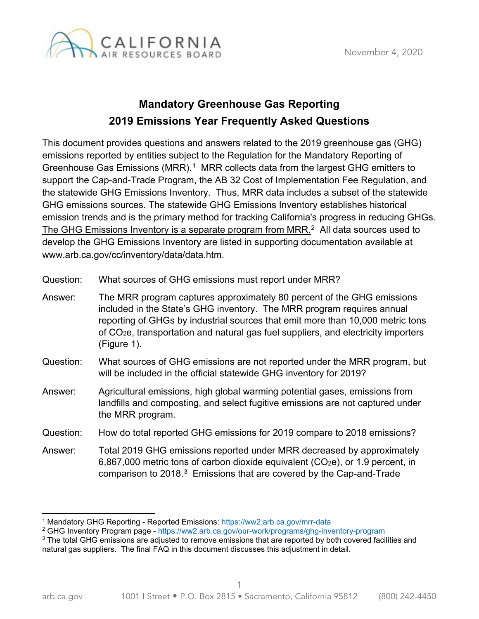

## **Mandatory Greenhouse Gas Reporting 2019 Emissions Year Frequently Asked Questions**

This document provides questions and answers related to the 2019 greenhouse gas (GHG) emissions reported by entities subject to the Regulation for the Mandatory Reporting of Greenhouse Gas Emissions (MRR).<sup>[1](#page-0-0)</sup> MRR collects data from the largest GHG emitters to support the Cap-and-Trade Program, the AB 32 Cost of Implementation Fee Regulation, and the statewide GHG Emissions Inventory. Thus, MRR data includes a subset of the statewide GHG emissions sources. The statewide GHG Emissions Inventory establishes historical emission trends and is the primary method for tracking California's progress in reducing GHGs. The GHG Emissions Inventory is a separate program from MRR.<sup>[2](#page-0-1)</sup> All data sources used to develop the GHG Emissions Inventory are listed in supporting documentation available at [www.arb.ca.gov/cc/inventory/data/data.htm.](http://www.arb.ca.gov/cc/inventory/data/data.htm)

Question: What sources of GHG emissions must report under MRR?

Answer: The MRR program captures approximately 80 percent of the GHG emissions included in the State's GHG inventory. The MRR program requires annual reporting of GHGs by industrial sources that emit more than 10,000 metric tons of CO2e, transportation and natural gas fuel suppliers, and electricity importers (Figure 1).

- Question: What sources of GHG emissions are not reported under the MRR program, but will be included in the official statewide GHG inventory for 2019?
- Answer: Agricultural emissions, high global warming potential gases, emissions from landfills and composting, and select fugitive emissions are not captured under the MRR program.
- Question: How do total reported GHG emissions for 2019 compare to 2018 emissions?
- Answer: Total 2019 GHG emissions reported under MRR decreased by approximately 6,867,000 metric tons of carbon dioxide equivalent (CO<sub>2</sub>e), or 1.9 percent, in comparison to 2018. [3](#page-0-2) Emissions that are covered by the Cap-and-Trade

<span id="page-0-0"></span><sup>1</sup> Mandatory GHG Reporting - Reported Emissions:<https://ww2.arb.ca.gov/mrr-data>

<span id="page-0-1"></span><sup>2</sup> GHG Inventory Program page - <https://ww2.arb.ca.gov/our-work/programs/ghg-inventory-program>

<span id="page-0-2"></span><sup>&</sup>lt;sup>3</sup> The total GHG emissions are adjusted to remove emissions that are reported by both covered facilities and natural gas suppliers. The final FAQ in this document discusses this adjustment in detail.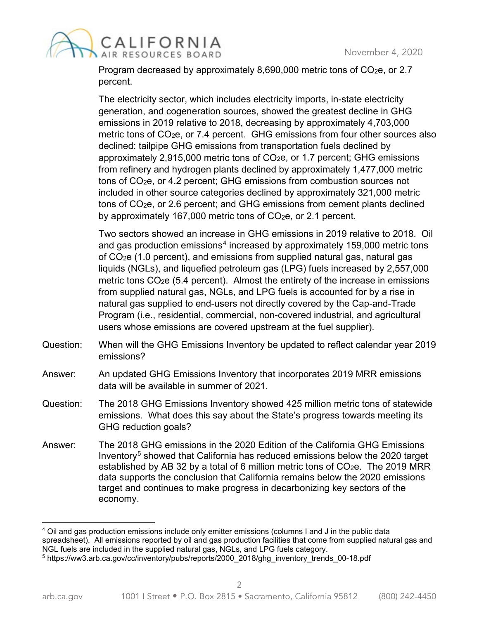

Program decreased by approximately 8,690,000 metric tons of CO<sub>2</sub>e, or 2.7 percent.

The electricity sector, which includes electricity imports, in-state electricity generation, and cogeneration sources, showed the greatest decline in GHG emissions in 2019 relative to 2018, decreasing by approximately 4,703,000 metric tons of CO<sub>2</sub>e, or 7.4 percent. GHG emissions from four other sources also declined: tailpipe GHG emissions from transportation fuels declined by approximately 2,915,000 metric tons of CO2e, or 1.7 percent; GHG emissions from refinery and hydrogen plants declined by approximately 1,477,000 metric tons of CO2e, or 4.2 percent; GHG emissions from combustion sources not included in other source categories declined by approximately 321,000 metric tons of CO2e, or 2.6 percent; and GHG emissions from cement plants declined by approximately 167,000 metric tons of  $CO<sub>2</sub>e$ , or 2.1 percent.

Two sectors showed an increase in GHG emissions in 2019 relative to 2018. Oil and gas production emissions $^4$  increased by approximately 159,000 metric tons of CO2e (1.0 percent), and emissions from supplied natural gas, natural gas liquids (NGLs), and liquefied petroleum gas (LPG) fuels increased by 2,557,000 metric tons CO<sub>2</sub>e (5.4 percent). Almost the entirety of the increase in emissions from supplied natural gas, NGLs, and LPG fuels is accounted for by a rise in natural gas supplied to end-users not directly covered by the Cap-and-Trade Program (i.e., residential, commercial, non-covered industrial, and agricultural users whose emissions are covered upstream at the fuel supplier).

- Question: When will the GHG Emissions Inventory be updated to reflect calendar year 2019 emissions?
- Answer: An updated GHG Emissions Inventory that incorporates 2019 MRR emissions data will be available in summer of 2021.
- Question: The 2018 GHG Emissions Inventory showed 425 million metric tons of statewide emissions. What does this say about the State's progress towards meeting its GHG reduction goals?
- Answer: The 2018 GHG emissions in the 2020 Edition of the California GHG Emissions Inventory<sup>[5](#page-1-1)</sup> showed that California has reduced emissions below the 2020 target established by AB 32 by a total of 6 million metric tons of  $CO<sub>2</sub>e$ . The 2019 MRR data supports the conclusion that California remains below the 2020 emissions target and continues to make progress in decarbonizing key sectors of the economy.

<span id="page-1-0"></span><sup>&</sup>lt;sup>4</sup> Oil and gas production emissions include only emitter emissions (columns I and J in the public data spreadsheet). All emissions reported by oil and gas production facilities that come from supplied natural gas and NGL fuels are included in the supplied natural gas, NGLs, and LPG fuels category.

<span id="page-1-1"></span><sup>5</sup> [https://ww3.arb.ca.gov/cc/inventory/pubs/reports/2000\\_2018/ghg\\_inventory\\_trends\\_00-18.pdf](https://ww3.arb.ca.gov/cc/inventory/pubs/reports/2000_2018/ghg_inventory_trends_00-18.pdf)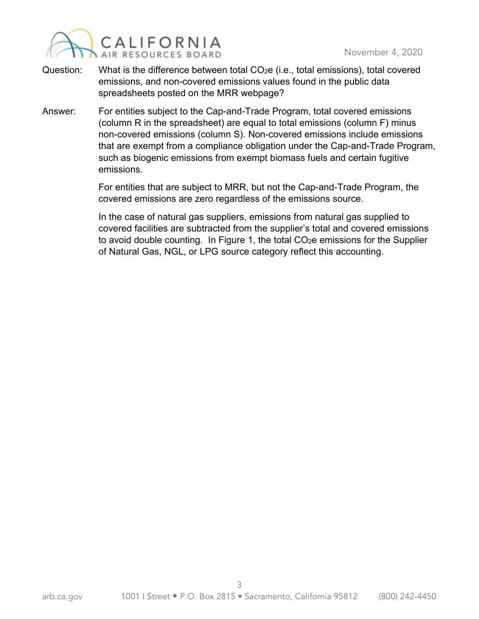

- Question: What is the difference between total CO<sub>2</sub>e (i.e., total emissions), total covered emissions, and non-covered emissions values found in the public data spreadsheets posted on the MRR webpage?
- Answer: For entities subject to the Cap-and-Trade Program, total covered emissions (column R in the spreadsheet) are equal to total emissions (column F) minus non-covered emissions (column S). Non-covered emissions include emissions that are exempt from a compliance obligation under the Cap-and-Trade Program, such as biogenic emissions from exempt biomass fuels and certain fugitive emissions.

For entities that are subject to MRR, but not the Cap-and-Trade Program, the covered emissions are zero regardless of the emissions source.

In the case of natural gas suppliers, emissions from natural gas supplied to covered facilities are subtracted from the supplier's total and covered emissions to avoid double counting. In Figure 1, the total CO<sub>2</sub>e emissions for the Supplier of Natural Gas, NGL, or LPG source category reflect this accounting.